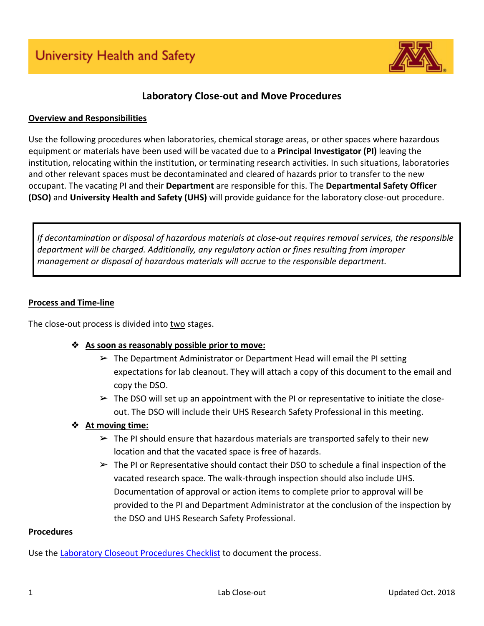

# **Laboratory Close-out and Move Procedures**

#### **Overview and Responsibilities**

Use the following procedures when laboratories, chemical storage areas, or other spaces where hazardous equipment or materials have been used will be vacated due to a **Principal Investigator (PI)** leaving the institution, relocating within the institution, or terminating research activities. In such situations, laboratories and other relevant spaces must be decontaminated and cleared of hazards prior to transfer to the new occupant. The vacating PI and their **Department** are responsible for this. The **Departmental Safety Officer (DSO)** and **University Health and Safety (UHS)** will provide guidance for the laboratory close-out procedure.

*If decontamination or disposal of hazardous materials at close-out requires removal services, the responsible department will be charged. Additionally, any regulatory action or fines resulting from improper management or disposal of hazardous materials will accrue to the responsible department.*

#### **Process and Time-line**

The close-out process is divided into two stages.

- ❖ **As soon as reasonably possible prior to move:**
	- $\triangleright$  The Department Administrator or Department Head will email the PI setting expectations for lab cleanout. They will attach a copy of this document to the email and copy the DSO.
	- $\triangleright$  The DSO will set up an appointment with the PI or representative to initiate the closeout. The DSO will include their UHS Research Safety Professional in this meeting.

## ❖ **At moving time:**

- $\triangleright$  The PI should ensure that hazardous materials are transported safely to their new location and that the vacated space is free of hazards.
- $\triangleright$  The PI or Representative should contact their DSO to schedule a final inspection of the vacated research space. The walk-through inspection should also include UHS. Documentation of approval or action items to complete prior to approval will be provided to the PI and Department Administrator at the conclusion of the inspection by the DSO and UHS Research Safety Professional.

#### **Procedures**

Use the [Laboratory Closeout Procedures Checklist](https://dehs.umn.edu/sites/dehs.umn.edu/files/laboratory_closeout_checklist_10.2018_3.pdf) to document the process.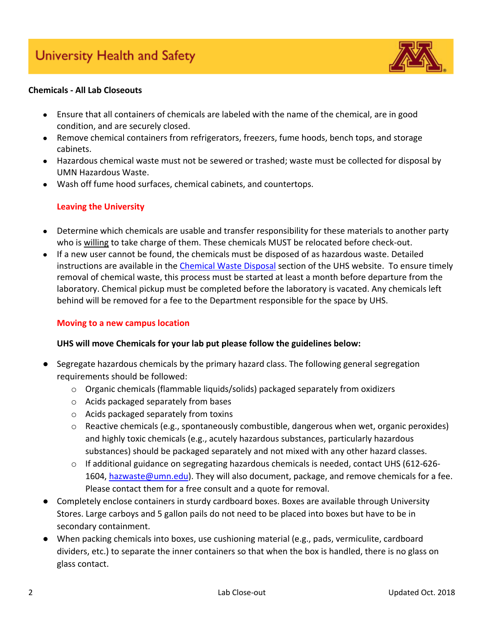

## **Chemicals - All Lab Closeouts**

- Ensure that all containers of chemicals are labeled with the name of the chemical, are in good condition, and are securely closed.
- Remove chemical containers from refrigerators, freezers, fume hoods, bench tops, and storage cabinets.
- Hazardous chemical waste must not be sewered or trashed; waste must be collected for disposal by UMN Hazardous Waste.
- Wash off fume hood surfaces, chemical cabinets, and countertops.

# **Leaving the University**

- Determine which chemicals are usable and transfer responsibility for these materials to another party who is willing to take charge of them. These chemicals MUST be relocated before check-out.
- If a new user cannot be found, the chemicals must be disposed of as hazardous waste. Detailed instructions are available in the [Chemical Waste Disposal](http://www.dehs.umn.edu/hazwaste_chemwaste.htm) section of the UHS website. To ensure timely removal of chemical waste, this process must be started at least a month before departure from the laboratory. Chemical pickup must be completed before the laboratory is vacated. Any chemicals left behind will be removed for a fee to the Department responsible for the space by UHS.

## **Moving to a new campus location**

## **UHS will move Chemicals for your lab put please follow the guidelines below:**

- Segregate hazardous chemicals by the primary hazard class. The following general segregation requirements should be followed:
	- o Organic chemicals (flammable liquids/solids) packaged separately from oxidizers
	- o Acids packaged separately from bases
	- o Acids packaged separately from toxins
	- o Reactive chemicals (e.g., spontaneously combustible, dangerous when wet, organic peroxides) and highly toxic chemicals (e.g., acutely hazardous substances, particularly hazardous substances) should be packaged separately and not mixed with any other hazard classes.
	- $\circ$  If additional guidance on segregating hazardous chemicals is needed, contact UHS (612-6261604, [hazwaste@umn.edu\)](mailto:hazwaste@umn.edu). They will also document, package, and remove chemicals for a fee. Please contact them for a free consult and a quote for removal.
- Completely enclose containers in sturdy cardboard boxes. Boxes are available through University Stores. Large carboys and 5 gallon pails do not need to be placed into boxes but have to be in secondary containment.
- When packing chemicals into boxes, use cushioning material (e.g., pads, vermiculite, cardboard dividers, etc.) to separate the inner containers so that when the box is handled, there is no glass on glass contact.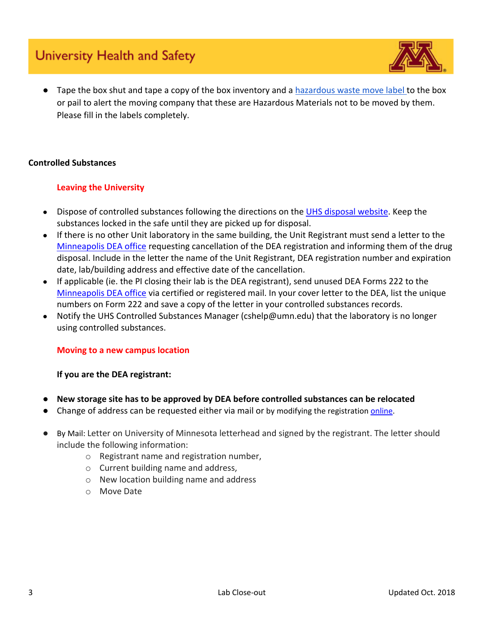# University Health and Safety



● Tape the box shut and tape a copy of the box inventory and a [hazardous waste move label t](https://drive.google.com/open?id=1BEGkhRDon0r5GfLtMEOpVKTdATsvQsAD)o the box or pail to alert the moving company that these are Hazardous Materials not to be moved by them. Please fill in the labels completely.

## **Controlled Substances**

## **Leaving the University**

- Dispose of controlled substances following the directions on the [UHS disposal website.](https://dehs.umn.edu/controlled-substances-disposal) Keep the substances locked in the safe until they are picked up for disposal.
- If there is no other Unit laboratory in the same building, the Unit Registrant must send a letter to the [Minneapolis DEA office](https://apps.deadiversion.usdoj.gov/contactDea/spring/main;jsessionid=AC0DA1C69EA7E329FF79E7D0D68A2AA8?execution=e1s1) requesting cancellation of the DEA registration and informing them of the drug disposal. Include in the letter the name of the Unit Registrant, DEA registration number and expiration date, lab/building address and effective date of the cancellation.
- If applicable (ie. the PI closing their lab is the DEA registrant), send unused DEA Forms 222 to the [Minneapolis DEA office](https://apps.deadiversion.usdoj.gov/contactDea/spring/main;jsessionid=AC0DA1C69EA7E329FF79E7D0D68A2AA8?execution=e1s1) via certified or registered mail. In your cover letter to the DEA, list the unique numbers on Form 222 and save a copy of the letter in your controlled substances records.
- Notify the UHS Controlled Substances Manager (cshelp@umn.edu) that the laboratory is no longer using controlled substances.

## **Moving to a new campus location**

## **If you are the DEA registrant:**

- New storage site has to be approved by DEA before controlled substances can be relocated
- Change of address can be requested either via mail or by modifying the registration [online.](https://www.deadiversion.usdoj.gov/drugreg/index.html)
- By Mail: Letter on University of Minnesota letterhead and signed by the registrant. The letter should include the following information:
	- o Registrant name and registration number,
	- o Current building name and address,
	- o New location building name and address
	- o Move Date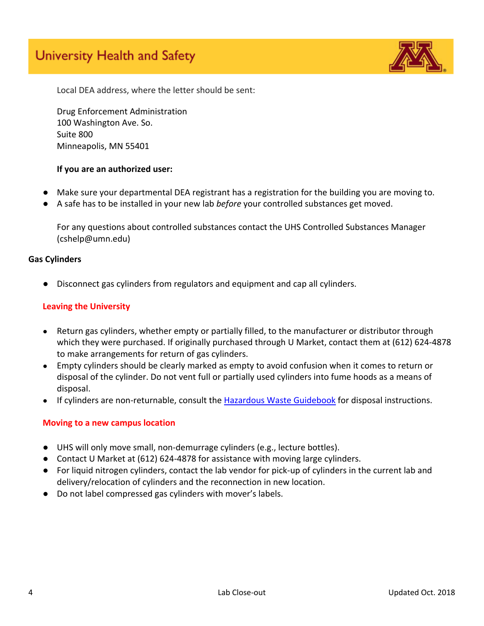# University Health and Safety



Local DEA address, where the letter should be sent:

Drug Enforcement Administration 100 Washington Ave. So. Suite 800 Minneapolis, MN 55401

#### **If you are an authorized user:**

- Make sure your departmental DEA registrant has a registration for the building you are moving to.
- A safe has to be installed in your new lab *before* your controlled substances get moved.

For any questions about controlled substances contact the UHS Controlled Substances Manager (cshelp@umn.edu)

#### **Gas Cylinders**

Disconnect gas cylinders from regulators and equipment and cap all cylinders.

#### **Leaving the University**

- Return gas cylinders, whether empty or partially filled, to the manufacturer or distributor through which they were purchased. If originally purchased through U Market, contact them at (612) 624-4878 to make arrangements for return of gas cylinders.
- Empty cylinders should be clearly marked as empty to avoid confusion when it comes to return or disposal of the cylinder. Do not vent full or partially used cylinders into fume hoods as a means of disposal.
- If cylinders are non-returnable, consult the [Hazardous Waste Guidebook](http://www.dehs.umn.edu/hazwaste_chemwaste_umn_cwmgbk_sec5.htm#cgcac) for disposal instructions.

#### **Moving to a new campus location**

- UHS will only move small, non-demurrage cylinders (e.g., lecture bottles).
- Contact U Market at (612) 624-4878 for assistance with moving large cylinders.
- For liquid nitrogen cylinders, contact the lab vendor for pick-up of cylinders in the current lab and delivery/relocation of cylinders and the reconnection in new location.
- Do not label compressed gas cylinders with mover's labels.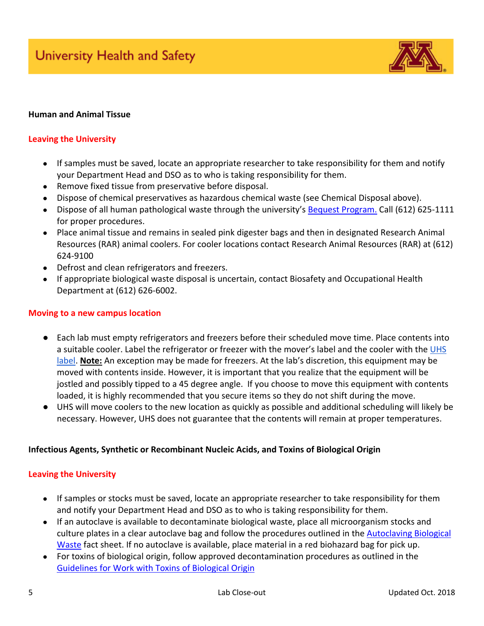

#### **Human and Animal Tissue**

#### **Leaving the University**

- If samples must be saved, locate an appropriate researcher to take responsibility for them and notify your Department Head and DSO as to who is taking responsibility for them.
- Remove fixed tissue from preservative before disposal.
- Dispose of chemical preservatives as hazardous chemical waste (see Chemical Disposal above).
- Dispose of all human pathological waste through the university's [Bequest Program.](http://www.bequest.umn.edu/) Call (612) 625-1111 for proper procedures.
- Place animal tissue and remains in sealed pink digester bags and then in designated Research Animal Resources (RAR) animal coolers. For cooler locations contact Research Animal Resources (RAR) at (612) 624-9100
- Defrost and clean refrigerators and freezers.
- If appropriate biological waste disposal is uncertain, contact Biosafety and Occupational Health Department at (612) 626-6002.

#### **Moving to a new campus location**

- Each lab must empty refrigerators and freezers before their scheduled move time. Place contents into a suitable cooler. Label the refrigerator or freezer with the mover's label and the cooler with the UHS [label.](https://drive.google.com/open?id=1BEGkhRDon0r5GfLtMEOpVKTdATsvQsAD) **Note:** An exception may be made for freezers. At the lab's discretion, this equipment may be moved with contents inside. However, it is important that you realize that the equipment will be jostled and possibly tipped to a 45 degree angle. If you choose to move this equipment with contents loaded, it is highly recommended that you secure items so they do not shift during the move.
- UHS will move coolers to the new location as quickly as possible and additional scheduling will likely be necessary. However, UHS does not guarantee that the contents will remain at proper temperatures.

#### **Infectious Agents, Synthetic or Recombinant Nucleic Acids, and Toxins of Biological Origin**

#### **Leaving the University**

- If samples or stocks must be saved, locate an appropriate researcher to take responsibility for them and notify your Department Head and DSO as to who is taking responsibility for them.
- If an autoclave is available to decontaminate biological waste, place all microorganism stocks and culture plates in a clear autoclave bag and follow the procedures outlined in the [Autoclaving Biological](https://bohd.umn.edu/sites/bohd.umn.edu/files/autoclavebiowaste_1.pdf)  [Waste](https://bohd.umn.edu/sites/bohd.umn.edu/files/autoclavebiowaste_1.pdf) fact sheet. If no autoclave is available, place material in a red biohazard bag for pick up.
- For toxins of biological origin, follow approved decontamination procedures as outlined in the [Guidelines for Work with Toxins of Biological Origin](https://bohd.umn.edu/biologically-derived-toxins)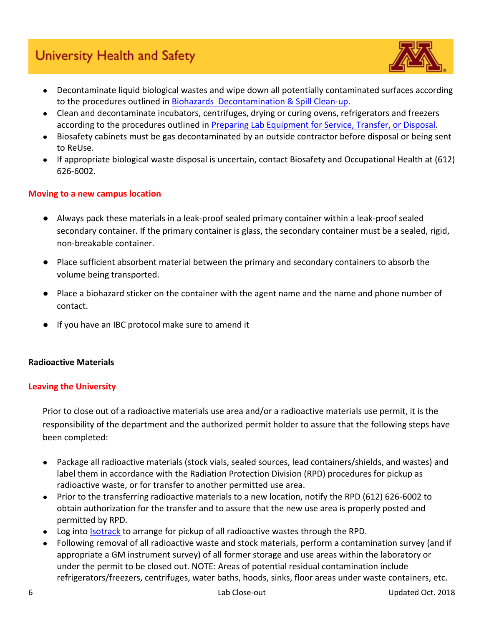# University Health and Safety



- Decontaminate liquid biological wastes and wipe down all potentially contaminated surfaces according to the procedures outlined in [Biohazards Decontamination & Spill Clean-up.](https://bohd.umn.edu/decontamination-and-disinfection)
- Clean and decontaminate incubators, centrifuges, drying or curing ovens, refrigerators and freezers according to the procedures outlined in [Preparing Lab Equipment for Service, Transfer, or Disposal.](https://bohd.umn.edu/sites/bohd.umn.edu/files/factsheetequipmentdecontamination.pdf)
- Biosafety cabinets must be gas decontaminated by an outside contractor before disposal or being sent to ReUse.
- If appropriate biological waste disposal is uncertain, contact Biosafety and Occupational Health at (612) 626-6002.

## **Moving to a new campus location**

- Always pack these materials in a leak-proof sealed primary container within a leak-proof sealed secondary container. If the primary container is glass, the secondary container must be a sealed, rigid, non-breakable container.
- Place sufficient absorbent material between the primary and secondary containers to absorb the volume being transported.
- Place a biohazard sticker on the container with the agent name and the name and phone number of contact.
- If you have an IBC protocol make sure to amend it

## **Radioactive Materials**

## **Leaving the University**

Prior to close out of a radioactive materials use area and/or a radioactive materials use permit, it is the responsibility of the department and the authorized permit holder to assure that the following steps have been completed:

- Package all radioactive materials (stock vials, sealed sources, lead containers/shields, and wastes) and label them in accordance with the Radiation Protection Division (RPD) procedures for pickup as radioactive waste, or for transfer to another permitted use area.
- Prior to the transferring radioactive materials to a new location, notify the RPD (612) 626-6002 to obtain authorization for the transfer and to assure that the new use area is properly posted and permitted by RPD.
- Log into [Isotrack](http://www.dehs-tools.umn.edu/) to arrange for pickup of all radioactive wastes through the RPD.
- Following removal of all radioactive waste and stock materials, perform a contamination survey (and if appropriate a GM instrument survey) of all former storage and use areas within the laboratory or under the permit to be closed out. NOTE: Areas of potential residual contamination include refrigerators/freezers, centrifuges, water baths, hoods, sinks, floor areas under waste containers, etc.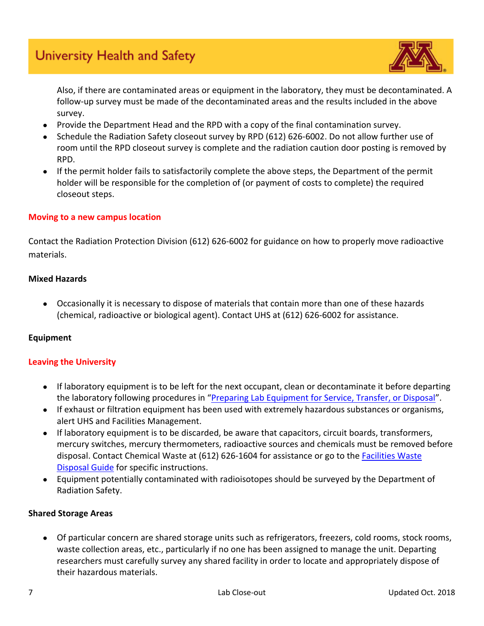

Also, if there are contaminated areas or equipment in the laboratory, they must be decontaminated. A follow-up survey must be made of the decontaminated areas and the results included in the above survey.

- Provide the Department Head and the RPD with a copy of the final contamination survey.
- Schedule the Radiation Safety closeout survey by RPD (612) 626-6002. Do not allow further use of room until the RPD closeout survey is complete and the radiation caution door posting is removed by RPD.
- If the permit holder fails to satisfactorily complete the above steps, the Department of the permit holder will be responsible for the completion of (or payment of costs to complete) the required closeout steps.

## **Moving to a new campus location**

Contact the Radiation Protection Division (612) 626-6002 for guidance on how to properly move radioactive materials.

## **Mixed Hazards**

● Occasionally it is necessary to dispose of materials that contain more than one of these hazards (chemical, radioactive or biological agent). Contact UHS at (612) 626-6002 for assistance.

# **Equipment**

# **Leaving the University**

- If laboratory equipment is to be left for the next occupant, clean or decontaminate it before departing the laboratory following procedures in "[Preparing Lab Equipment for Service, Transfer, or Disposal](https://bohd.umn.edu/sites/bohd.umn.edu/files/factsheetequipmentdecontamination.pdf)".
- If exhaust or filtration equipment has been used with extremely hazardous substances or organisms, alert UHS and Facilities Management.
- If laboratory equipment is to be discarded, be aware that capacitors, circuit boards, transformers, mercury switches, mercury thermometers, radioactive sources and chemicals must be removed before disposal. Contact Chemical Waste at (612) 626-1604 for assistance or go to the Facilities Waste [Disposal Guide](https://facilities.umn.edu/self-help-guide/recycling-self-help-guide-f) for specific instructions.
- Equipment potentially contaminated with radioisotopes should be surveyed by the Department of Radiation Safety.

# **Shared Storage Areas**

● Of particular concern are shared storage units such as refrigerators, freezers, cold rooms, stock rooms, waste collection areas, etc., particularly if no one has been assigned to manage the unit. Departing researchers must carefully survey any shared facility in order to locate and appropriately dispose of their hazardous materials.